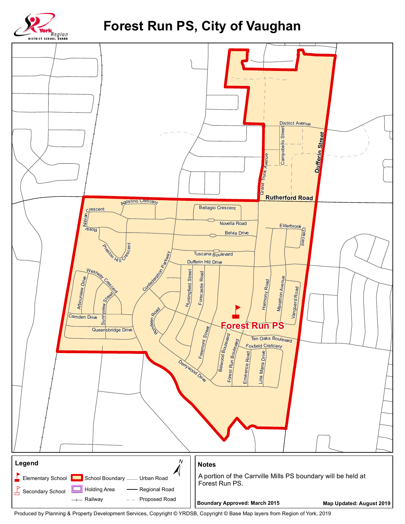

## Forest Run PS, City of Vaughan



Produced by Planning & Property Development Services, Copyright @ YRDSB, Copyright @ Base Map layers from Region of York, 2019